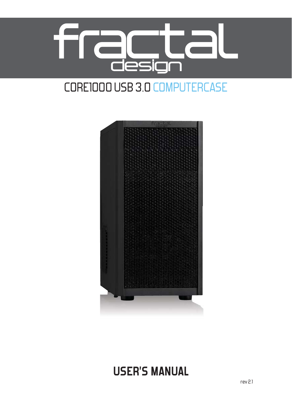

# CORE1000 USB 3.0 COMPUTERCASE



# **USER'S MANUAL**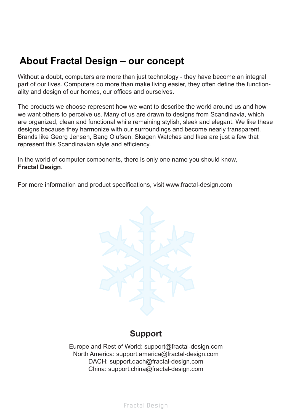# **About Fractal Design – our concept**

Without a doubt, computers are more than just technology - they have become an integral part of our lives. Computers do more than make living easier, they often define the functionality and design of our homes, our offices and ourselves.

The products we choose represent how we want to describe the world around us and how we want others to perceive us. Many of us are drawn to designs from Scandinavia, which are organized, clean and functional while remaining stylish, sleek and elegant. We like these designs because they harmonize with our surroundings and become nearly transparent. Brands like Georg Jensen, Bang Olufsen, Skagen Watches and Ikea are just a few that represent this Scandinavian style and efficiency.

In the world of computer components, there is only one name you should know, **Fractal Design**.

For more information and product specifications, visit www.fractal-design.com



# **Support**

Europe and Rest of World: support@fractal-design.com North America: support.america@fractal-design.com DACH: support.dach@fractal-design.com China: support.china@fractal-design.com

Fractal De sign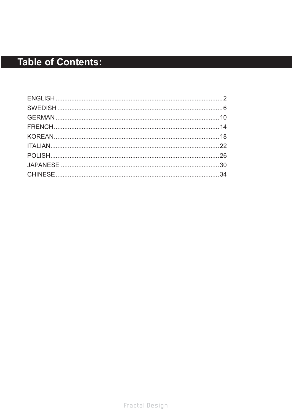# **Table of Contents:**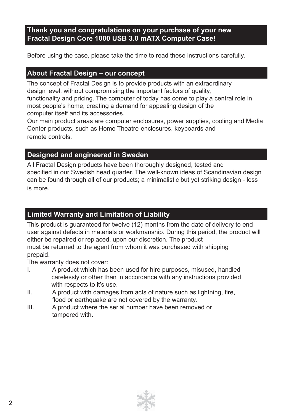# **Thank you and congratulations on your purchase of your new Fractal Design Core 1000 USB 3.0 mATX Computer Case!**

Before using the case, please take the time to read these instructions carefully.

# **About Fractal Design – our concept**

The concept of Fractal Design is to provide products with an extraordinary design level, without compromising the important factors of quality, functionality and pricing. The computer of today has come to play a central role in most people's home, creating a demand for appealing design of the computer itself and its accessories.

Our main product areas are computer enclosures, power supplies, cooling and Media Center-products, such as Home Theatre-enclosures, keyboards and remote controls.

# **Designed and engineered in Sweden**

All Fractal Design products have been thoroughly designed, tested and specified in our Swedish head quarter. The well-known ideas of Scandinavian design can be found through all of our products; a minimalistic but yet striking design - less is more.

# **Limited Warranty and Limitation of Liability**

This product is guaranteed for twelve (12) months from the date of delivery to enduser against defects in materials or workmanship. During this period, the product will either be repaired or replaced, upon our discretion. The product must be returned to the agent from whom it was purchased with shipping prepaid.

The warranty does not cover:

- I. A product which has been used for hire purposes, misused, handled carelessly or other than in accordance with any instructions provided with respects to it's use.
- $II.$  A product with damages from acts of nature such as lightning, fire, flood or earthquake are not covered by the warranty.
- III. A product where the serial number have been removed or tampered with.

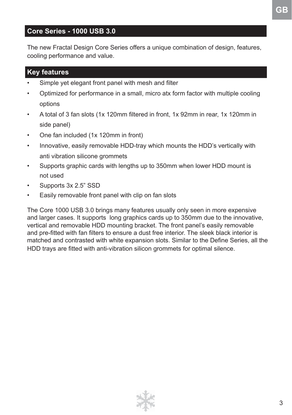# **Core Series - 1000 USB 3.0**

The new Fractal Design Core Series offers a unique combination of design, features, cooling performance and value.

# **Key features**

- Simple yet elegant front panel with mesh and filter
- Optimized for performance in a small, micro atx form factor with multiple cooling options
- A total of 3 fan slots (1x 120mm filtered in front, 1x 92mm in rear, 1x 120mm in side panel)
- One fan included (1x 120mm in front)
- Innovative, easily removable HDD-tray which mounts the HDD's vertically with anti vibration silicone grommets
- Supports graphic cards with lengths up to 350mm when lower HDD mount is not used
- Supports 3x 2.5" SSD
- Easily removable front panel with clip on fan slots

The Core 1000 USB 3.0 brings many features usually only seen in more expensive and larger cases. It supports long graphics cards up to 350mm due to the innovative, vertical and removable HDD mounting bracket. The front panel's easily removable and pre-fitted with fan filters to ensure a dust free interior. The sleek black interior is matched and contrasted with white expansion slots. Similar to the Define Series, all the HDD trays are fitted with anti-vibration silicon grommets for optimal silence.

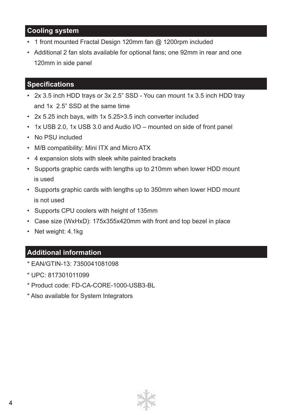# **Cooling system**

- 1 front mounted Fractal Design 120mm fan @ 1200rpm included
- Additional 2 fan slots available for optional fans; one 92mm in rear and one 120mm in side panel

# **Specifications**

- 2x 3.5 inch HDD trays or 3x 2.5" SSD You can mount 1x 3.5 inch HDD tray and 1x 2.5" SSD at the same time
- 2x 5.25 inch bays, with 1x 5.25>3.5 inch converter included
- 1x USB 2.0, 1x USB 3.0 and Audio I/O mounted on side of front panel
- No PSU included
- M/B compatibility: Mini ITX and Micro ATX
- 4 expansion slots with sleek white painted brackets
- Supports graphic cards with lengths up to 210mm when lower HDD mount is used
- Supports graphic cards with lengths up to 350mm when lower HDD mount is not used
- Supports CPU coolers with height of 135mm
- Case size (WxHxD): 175x355x420mm with front and top bezel in place
- Net weight: 4.1kg

# **Additional information**

- \* EAN/GTIN-13: 7350041081098
- \* UPC: 817301011099
- \* Product code: FD-CA-CORE-1000-USB3-BL
- \* Also available for System Integrators

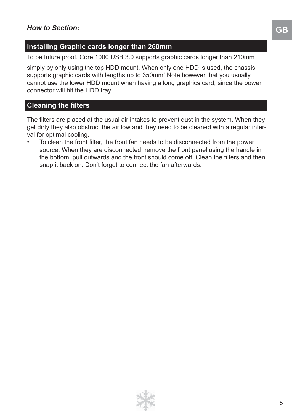# **Installing Graphic cards longer than 260mm**

To be future proof, Core 1000 USB 3.0 supports graphic cards longer than 210mm

simply by only using the top HDD mount. When only one HDD is used, the chassis supports graphic cards with lengths up to 350mm! Note however that you usually cannot use the lower HDD mount when having a long graphics card, since the power connector will hit the HDD tray.

### **Cleaning the filters**

The filters are placed at the usual air intakes to prevent dust in the system. When they get dirty they also obstruct the airflow and they need to be cleaned with a regular interval for optimal cooling.

To clean the front filter, the front fan needs to be disconnected from the power source. When they are disconnected, remove the front panel using the handle in the bottom, pull outwards and the front should come off. Clean the filters and then snap it back on. Don't forget to connect the fan afterwards.

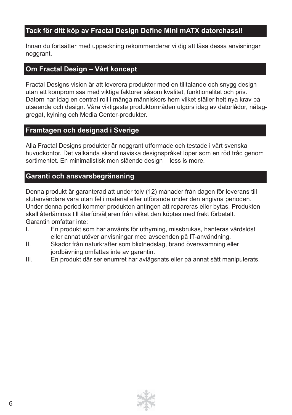# Tack för ditt köp av Fractal Design Define Mini mATX datorchassi!

Innan du fortsätter med uppackning rekommenderar vi dig att läsa dessa anvisningar noggrant.

# **Om Fractal Design – Vårt koncept**

Fractal Designs vision är att leverera produkter med en tilltalande och snygg design utan att kompromissa med viktiga faktorer såsom kvalitet, funktionalitet och pris. Datorn har idag en central roll i många människors hem vilket ställer helt nya krav på utseende och design. Våra viktigaste produktområden utgörs idag av datorlådor, nätaggregat, kylning och Media Center-produkter.

### **Framtagen och designad i Sverige**

Alla Fractal Designs produkter är noggrant utformade och testade i vårt svenska huvudkontor. Det välkända skandinaviska designspråket löper som en röd tråd genom sortimentet. En minimalistisk men slående design – less is more.

### **Garanti och ansvarsbegränsning**

Denna produkt är garanterad att under tolv (12) månader från dagen för leverans till slutanvändare vara utan fel i material eller utförande under den angivna perioden. Under denna period kommer produkten antingen att repareras eller bytas. Produkten skall återlämnas till återförsäljaren från vilket den köptes med frakt förbetalt. Garantin omfattar inte:

- I. En produkt som har använts för uthyrning, missbrukas, hanteras vårdslöst eller annat utöver anvisningar med avseenden på IT-användning.
- II. Skador från naturkrafter som blixtnedslag, brand översvämning eller jordbävning omfattas inte av garantin.
- III. En produkt där serienumret har avlägsnats eller på annat sätt manipulerats.

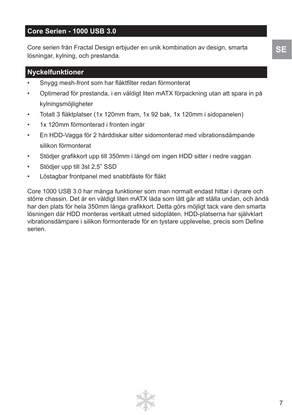# **Core Serien - 1000 USB 3.0**

Core serien från Fractal Design erbjuder en unik kombination av design, smarta lösningar, kylning, och prestanda.

# **Nyckelfunktioner**

- Snygg mesh-front som har fläktfilter redan förmonterat
- Optimerad för prestanda, i en väldigt liten mATX förpackning utan att spara in på kylningsmöjligheter
- Totalt 3 fläktplatser (1x 120mm fram, 1x 92 bak, 1x 120mm i sidopanelen)
- 1x 120mm förmonterad i fronten ingår
- En HDD-Vagga för 2 hårddiskar sitter sidomonterad med vibrationsdämpande silikon förmonterat
- Stödjer grafikkort upp till 350mm i längd om ingen HDD sitter i nedre vaggan
- Stödjer upp till 3st 2,5" SSD
- Löstagbar frontpanel med snabbfäste för fläkt

Core 1000 USB 3.0 har många funktioner som man normalt endast hittar i dyrare och större chassin. Det är en väldigt liten mATX låda som lätt går att ställa undan, och ändå har den plats för hela 350mm långa grafikkort. Detta görs möjligt tack vare den smarta lösningen där HDD monteras vertikalt utmed sidoplåten. HDD-platserna har självklart vibrationsdämpare i silikon förmonterade för en tystare upplevelse, precis som Define serien.

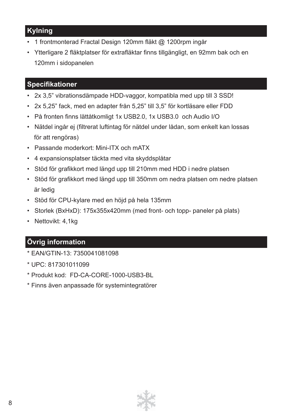# **Kylning**

- 1 frontmonterad Fractal Design 120mm fläkt @ 1200rpm ingår
- Ytterligare 2 fläktplatser för extrafläktar finns tillgängligt, en 92mm bak och en 120mm i sidopanelen

# **Specifikationer**

- 2x 3,5" vibrationsdämpade HDD-vaggor, kompatibla med upp till 3 SSD!
- 2x 5,25" fack, med en adapter från 5,25" till 3,5" för kortläsare eller FDD
- På fronten finns lättåtkomligt 1x USB2.0, 1x USB3.0 och Audio I/O
- Nätdel ingår ej (filtrerat luftintag för nätdel under lådan, som enkelt kan lossas för att rengöras)
- Passande moderkort: Mini-ITX och mATX
- 4 expansionsplatser täckta med vita skyddsplåtar
- Stöd för grafikkort med längd upp till 210mm med HDD i nedre platsen
- Stöd för grafikkort med längd upp till 350mm om nedra platsen om nedre platsen är ledig
- Stöd för CPU-kylare med en höjd på hela 135mm
- Storlek (BxHxD): 175x355x420mm (med front- och topp- paneler på plats)
- Nettovikt: 4,1kg

# **Övrig information**

- \* EAN/GTIN-13: 7350041081098
- \* UPC: 817301011099
- \* Produkt kod: FD-CA-CORE-1000-USB3-BL
- \* Finns även anpassade för systemintegratörer

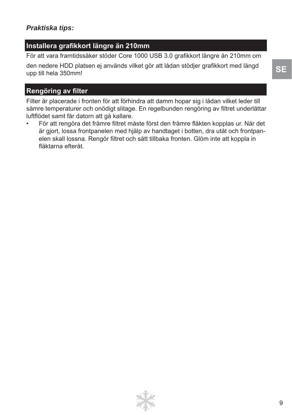# *Praktiska tips:*

# **Installera grafi kkort längre än 210mm**

För att vara framtidssäker stöder Core 1000 USB 3.0 grafikkort längre än 210mm om

den nedere HDD platsen ej används vilket gör att lådan stödjer grafikkort med längd upp till hela 350mm!

# **Rengöring av filter**

Filter är placerade i fronten för att förhindra att damm hopar sig i lådan vilket leder till sämre temperaturer och onödigt slitage. En regelbunden rengöring av filtret underlättar luftfl ödet samt får datorn att gå kallare.

För att rengöra det främre filtret måste först den främre fläkten kopplas ur. När det är gjort, lossa frontpanelen med hjälp av handtaget i botten, dra utåt och frontpanelen skall lossna. Rengör filtret och sätt tillbaka fronten. Glöm inte att koppla in fläktarna efteråt.

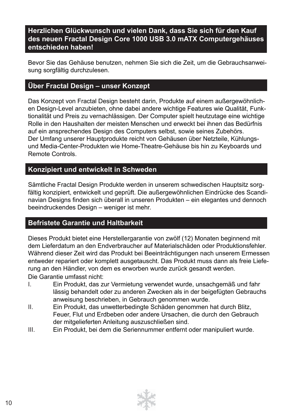# **Herzlichen Glückwunsch und vielen Dank, dass Sie sich für den Kauf des neuen Fractal Design Core 1000 USB 3.0 mATX Computergehäuses entschieden haben!**

Bevor Sie das Gehäuse benutzen, nehmen Sie sich die Zeit, um die Gebrauchsanweisung sorgfältig durchzulesen.

# **Über Fractal Design – unser Konzept**

Das Konzept von Fractal Design besteht darin, Produkte auf einem außergewöhnlichen Design-Level anzubieten, ohne dabei andere wichtige Features wie Qualität, Funktionalität und Preis zu vernachlässigen. Der Computer spielt heutzutage eine wichtige Rolle in den Haushalten der meisten Menschen und erweckt bei ihnen das Bedürfnis auf ein ansprechendes Design des Computers selbst, sowie seines Zubehörs. Der Umfang unserer Hauptprodukte reicht von Gehäusen über Netzteile, Kühlungsund Media-Center-Produkten wie Home-Theatre-Gehäuse bis hin zu Keyboards und Remote Controls.

### **Konzipiert und entwickelt in Schweden**

Sämtliche Fractal Design Produkte werden in unserem schwedischen Hauptsitz sorgfältig konzipiert, entwickelt und geprüft. Die außergewöhnlichen Eindrücke des Scandinavian Designs finden sich überall in unseren Produkten – ein elegantes und dennoch beeindruckendes Design – weniger ist mehr.

# **Befristete Garantie und Haltbarkeit**

Dieses Produkt bietet eine Herstellergarantie von zwölf (12) Monaten beginnend mit dem Lieferdatum an den Endverbraucher auf Materialschäden oder Produktionsfehler. Während dieser Zeit wird das Produkt bei Beeinträchtigungen nach unserem Ermessen entweder repariert oder komplett ausgetauscht. Das Produkt muss dann als freie Lieferung an den Händler, von dem es erworben wurde zurück gesandt werden. Die Garantie umfasst nicht:

- I. Ein Produkt, das zur Vermietung verwendet wurde, unsachgemäß und fahr lässig behandelt oder zu anderen Zwecken als in der beigefügten Gebrauchs anweisung beschrieben, in Gebrauch genommen wurde.
- II. Ein Produkt, das unwetterbedingte Schäden genommen hat durch Blitz, Feuer, Flut und Erdbeben oder andere Ursachen, die durch den Gebrauch der mitgelieferten Anleitung auszuschließen sind.
- III. Ein Produkt, bei dem die Seriennummer entfernt oder manipuliert wurde.

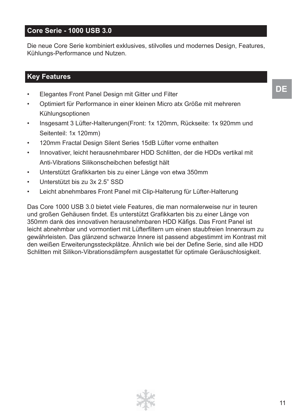# **Core Serie - 1000 USB 3.0**

Die neue Core Serie kombiniert exklusives, stilvolles und modernes Design, Features, Kühlungs-Performance und Nutzen.

# **Key Features**

- Elegantes Front Panel Design mit Gitter und Filter
- Optimiert für Performance in einer kleinen Micro atx Größe mit mehreren Kühlungsoptionen
- Insgesamt 3 Lüfter-Halterungen(Front: 1x 120mm, Rückseite: 1x 920mm und Seitenteil: 1x 120mm)
- 120mm Fractal Design Silent Series 15dB Lüfter vorne enthalten
- Innovativer, leicht herausnehmbarer HDD Schlitten, der die HDDs vertikal mit Anti-Vibrations Silikonscheibchen befestigt hält
- Unterstützt Grafikkarten bis zu einer Länge von etwa 350mm
- Unterstützt bis zu 3x 2.5" SSD
- Leicht abnehmbares Front Panel mit Clip-Halterung für Lüfter-Halterung

Das Core 1000 USB 3.0 bietet viele Features, die man normalerweise nur in teuren und großen Gehäusen findet. Es unterstützt Grafikkarten bis zu einer Länge von 350mm dank des innovativen herausnehmbaren HDD Käfigs. Das Front Panel ist leicht abnehmbar und vormontiert mit Lüfterfiltern um einen staubfreien Innenraum zu gewährleisten. Das glänzend schwarze Innere ist passend abgestimmt im Kontrast mit den weißen Erweiterungssteckplätze. Ähnlich wie bei der Define Serie, sind alle HDD Schlitten mit Silikon-Vibrationsdämpfern ausgestattet für optimale Geräuschlosigkeit.

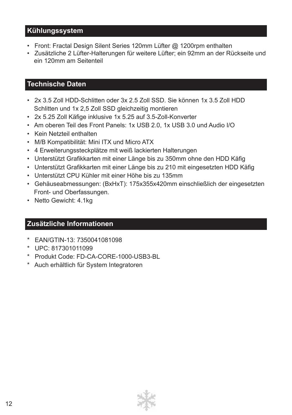# **Kühlungssystem**

- Front: Fractal Design Silent Series 120mm Lüfter @ 1200rpm enthalten
- Zusätzliche 2 Lüfter-Halterungen für weitere Lüfter; ein 92mm an der Rückseite und ein 120mm am Seitenteil

# **Technische Daten**

- 2x 3.5 Zoll HDD-Schlitten oder 3x 2.5 Zoll SSD. Sie können 1x 3.5 Zoll HDD Schlitten und 1x 2,5 Zoll SSD gleichzeitig montieren
- 2x 5.25 Zoll Käfige inklusive 1x 5.25 auf 3.5-Zoll-Konverter
- Am oberen Teil des Front Panels: 1x USB 2.0, 1x USB 3.0 und Audio I/O
- Kein Netzteil enthalten
- M/B Kompatibilität: Mini ITX und Micro ATX
- 4 Erweiterungssteckplätze mit weiß lackierten Halterungen
- Unterstützt Grafikkarten mit einer Länge bis zu 350mm ohne den HDD Käfig
- Unterstützt Grafikkarten mit einer Länge bis zu 210 mit eingesetzten HDD Käfig
- Unterstützt CPU Kühler mit einer Höhe bis zu 135mm
- Gehäuseabmessungen: (BxHxT): 175x355x420mm einschließlich der eingesetzten Front- und Oberfassungen.
- Netto Gewicht: 4.1kg

# **Zusätzliche Informationen**

- \* EAN/GTIN-13: 7350041081098
- \* UPC: 817301011099
- \* Produkt Code: FD-CA-CORE-1000-USB3-BL
- \* Auch erhältlich für System Integratoren

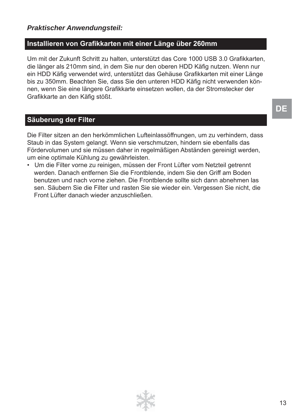# *Praktischer Anwendungsteil:*

### **Installieren von Grafi kkarten mit einer Länge über 260mm**

Um mit der Zukunft Schritt zu halten, unterstützt das Core 1000 USB 3.0 Grafikkarten, die länger als 210mm sind, in dem Sie nur den oberen HDD Käfig nutzen. Wenn nur ein HDD Käfig verwendet wird, unterstützt das Gehäuse Grafikkarten mit einer Länge bis zu 350mm. Beachten Sie, dass Sie den unteren HDD Käfig nicht verwenden können, wenn Sie eine längere Grafikkarte einsetzen wollen, da der Stromstecker der Grafikkarte an den Käfig stößt.

# **Säuberung der Filter**

Die Filter sitzen an den herkömmlichen Lufteinlassöffnungen, um zu verhindern, dass Staub in das System gelangt. Wenn sie verschmutzen, hindern sie ebenfalls das Fördervolumen und sie müssen daher in regelmäßigen Abständen gereinigt werden, um eine optimale Kühlung zu gewährleisten.

• Um die Filter vorne zu reinigen, müssen der Front Lüfter vom Netzteil getrennt werden. Danach entfernen Sie die Frontblende, indem Sie den Griff am Boden benutzen und nach vorne ziehen. Die Frontblende sollte sich dann abnehmen las sen. Säubern Sie die Filter und rasten Sie sie wieder ein. Vergessen Sie nicht, die Front Lüfter danach wieder anzuschließen.

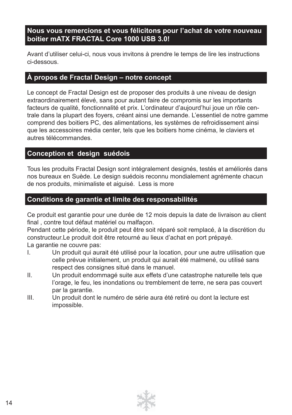# **Nous vous remercions et vous félicitons pour l'achat de votre nouveau boitier mATX FRACTAL Core 1000 USB 3.0!**

Avant d'utiliser celui-ci, nous vous invitons à prendre le temps de lire les instructions ci-dessous.

# **À propos de Fractal Design – notre concept**

Le concept de Fractal Design est de proposer des produits à une niveau de design extraordinairement élevé, sans pour autant faire de compromis sur les importants facteurs de qualité, fonctionnalité et prix. L'ordinateur d'aujourd'hui joue un rôle centrale dans la plupart des foyers, créant ainsi une demande. L'essentiel de notre gamme comprend des boitiers PC, des alimentations, les systèmes de refroidissement ainsi que les accessoires média center, tels que les boitiers home cinéma, le claviers et autres télécommandes.

# **Conception et design suédois**

Tous les produits Fractal Design sont intégralement designés, testés et améliorés dans nos bureaux en Suède. Le design suédois reconnu mondialement agrémente chacun de nos produits, minimaliste et aiguisé. Less is more

# **Conditions de garantie et limite des responsabilités**

Ce produit est garantie pour une durée de 12 mois depuis la date de livraison au client final, contre tout défaut matériel ou malfacon.

Pendant cette période, le produit peut être soit réparé soit remplacé, à la discrétion du constructeur.Le produit doit être retourné au lieux d'achat en port prépayé.

La garantie ne couvre pas:

- I. Un produit qui aurait été utilisé pour la location, pour une autre utilisation que celle prévue initialement, un produit qui aurait été malmené, ou utilisé sans respect des consignes situé dans le manuel.
- II. Un produit endommagé suite aux effets d'une catastrophe naturelle tels que l'orage, le feu, les inondations ou tremblement de terre, ne sera pas couvert par la garantie.
- III. Un produit dont le numéro de série aura été retiré ou dont la lecture est impossible.

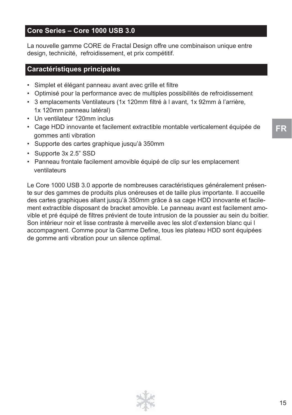# **Core Series – Core 1000 USB 3.0**

La nouvelle gamme CORE de Fractal Design offre une combinaison unique entre design, technicité, refroidissement, et prix compétitif.

### **Caractéristiques principales**

- Simplet et élégant panneau avant avec grille et filtre
- Optimisé pour la performance avec de multiples possibilités de refroidissement
- 3 emplacements Ventilateurs (1x 120mm filtré à l avant, 1x 92mm à l'arrière, 1x 120mm panneau latéral)
- Un ventilateur 120mm inclus
- Cage HDD innovante et facilement extractible montable verticalement équipée de gommes anti vibration
- Supporte des cartes graphique jusqu'à 350mm
- Supporte 3x 2.5" SSD
- Panneau frontale facilement amovible équipé de clip sur les emplacement ventilateurs

Le Core 1000 USB 3.0 apporte de nombreuses caractéristiques généralement présente sur des gammes de produits plus onéreuses et de taille plus importante. Il accueille des cartes graphiques allant jusqu'à 350mm grâce à sa cage HDD innovante et facilement extractible disposant de bracket amovible. Le panneau avant est facilement amovible et pré équipé de filtres prévient de toute intrusion de la poussier au sein du boitier. Son intérieur noir et lisse contraste à merveille avec les slot d'extension blanc qui l accompagnent. Comme pour la Gamme Define, tous les plateau HDD sont équipées de gomme anti vibration pour un silence optimal.

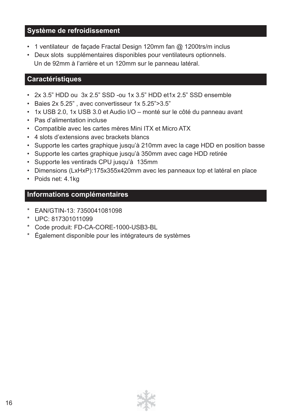# **Système de refroidissement**

- 1 ventilateur de façade Fractal Design 120mm fan @ 1200trs/m inclus
- Deux slots supplémentaires disponibles pour ventilateurs optionnels. Un de 92mm à l'arrière et un 120mm sur le panneau latéral.

# **Caractéristiques**

- 2x 3.5" HDD ou 3x 2.5" SSD -ou 1x 3.5" HDD et1x 2.5" SSD ensemble
- Baies 2x 5.25" , avec convertisseur 1x 5.25">3.5"
- 1x USB 2.0, 1x USB 3.0 et Audio I/O monté sur le côté du panneau avant
- Pas d'alimentation incluse
- Compatible avec les cartes mères Mini ITX et Micro ATX
- 4 slots d'extensions avec brackets blancs
- Supporte les cartes graphique jusqu'à 210mm avec la cage HDD en position basse
- Supporte les cartes graphique jusqu'à 350mm avec cage HDD retirée
- Supporte les ventirads CPU jusqu'à 135mm
- Dimensions (LxHxP):175x355x420mm avec les panneaux top et latéral en place
- Poids net: 4.1kg

# **Informations complémentaires**

- \* EAN/GTIN-13: 7350041081098
- \* UPC: 817301011099
- \* Code produit: FD-CA-CORE-1000-USB3-BL
- \* Également disponible pour les intégrateurs de systèmes

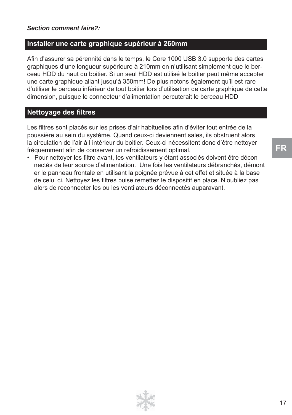#### *Section comment faire?:*

### **Installer une carte graphique supérieur à 260mm**

Afin d'assurer sa pérennité dans le temps, le Core 1000 USB 3.0 supporte des cartes graphiques d'une longueur supérieure à 210mm en n'utilisant simplement que le berceau HDD du haut du boitier. Si un seul HDD est utilisé le boitier peut même accepter une carte graphique allant jusqu'à 350mm! De plus notons également qu'il est rare d'utiliser le berceau inférieur de tout boitier lors d'utilisation de carte graphique de cette dimension, puisque le connecteur d'alimentation percuterait le berceau HDD

### **Nettovage des filtres**

Les filtres sont placés sur les prises d'air habituelles afin d'éviter tout entrée de la poussière au sein du système. Quand ceux-ci deviennent sales, ils obstruent alors la circulation de l'air à l intérieur du boitier. Ceux-ci nécessitent donc d'être nettoyer fréquemment afin de conserver un refroidissement optimal.

• Pour nettoyer les filtre avant, les ventilateurs y étant associés doivent être décon nectés de leur source d'alimentation. Une fois les ventilateurs débranchés, démont er le panneau frontale en utilisant la poignée prévue à cet effet et située à la base de celui ci. Nettoyez les filtres puise remettez le dispositif en place. N'oubliez pas alors de reconnecter les ou les ventilateurs déconnectés auparavant.

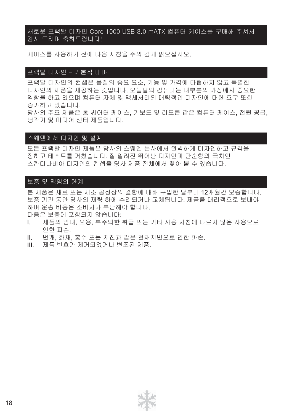#### 새로운 프랙탈 디자인 Core 1000 USB 3.0 mATX 컴퓨터 케이스를 구매해 주셔서 감사 드리며 축하드립니다!

케이스를 사용하기 전에 다음 지침을 주의 깊게 읽으십시오.

#### 프랙탈 디자인 – 기본적 테마

프랙탈 디자인의 컨셉은 품질의 중요 요소, 기능 및 가격에 타협하지 않고 특별한 디자인의 제품을 제공하는 것입니다. 오늘날의 컴퓨터는 대부분의 가정에서 중요한 역할을 하고 있으며 컴퓨터 자체 및 액세서리의 매력적인 디자인에 대한 요구 또한 증가하고 있습니다. 당사의 주요 제품은 홈 씨어터 케이스, 키보드 및 리모콘 같은 컴퓨터 케이스, 전원 공급, 냉각기 및 미디어 센터 제품입니다.

#### 스웨덴에서 디자인 및 설계

모든 프랙탈 디자인 제품은 당사의 스웨덴 본사에서 완벽하게 디자인하고 규격을 정하고 테스트를 거쳤습니다. 잘 알려진 뛰어난 디자인과 단순함의 극치인 스칸디나비아 디자인의 컨셉을 당사 제품 전체에서 찾아 볼 수 있습니다.

#### 보증 및 책임의 한계

본 제품은 재료 또는 제조 공정상의 결함에 대해 구입한 날부터 12개월간 보증합니다. 보증 기간 동안 당사의 재량 하에 수리되거나 교체됩니다. 제품을 대리점으로 보내야 하며 운송 비용은 소비자가 부담해야 합니다.

다음은 보증에 포함되지 않습니다:

- I. 제품의 임대, 오용, 부주의한 취급 또는 기타 사용 지침에 따르지 않은 사용으로 인한 파손.
- II. 번개, 화재, 홍수 또는 지진과 같은 천재지변으로 인한 파손.
- III. 제품 번호가 제거되었거나 변조된 제품.

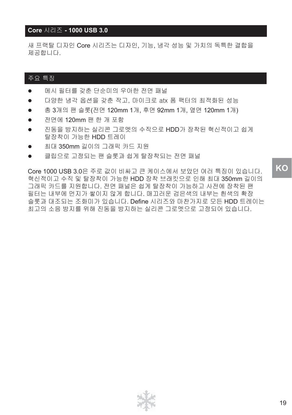#### **Core** 시리즈 **- 1000 USB 3.0**

새 프랙탈 디자인 Core 시리즈는 디자인, 기능, 냉각 성능 및 가치의 독특한 결합을 제공합니다.

#### 주요 특징

- \_ 메시 필터를 갖춘 단순미의 우아한 전면 패널
- 다양한 냉각 옵션을 갖춘 작고, 마이크로 atx 폼 팩터의 최적화된 성능
- 총 3개의 팬 슬롯(전면 120mm 1개, 후면 92mm 1개, 옆면 120mm 1개)
- 전면에 120mm 팬 한 개 포함
- 진동을 방지하는 실리콘 그로멧의 수직으로 HDD가 장착된 혁신적이고 쉽게 탈장착이 가능한 HDD 트레이
- 최대 350mm 길이의 그래픽 카드 지원
- 클립으로 고정되는 팬 슬롯과 쉽게 탈장착되는 전면 패널

Core 1000 USB 3.0은 주로 값이 비싸고 큰 케이스에서 보았던 여러 특징이 있습니다. 혁신적이고 수직 및 탈장착이 가능한 HDD 장착 브래킷으로 인해 최대 350mm 길이의 그래픽 카드를 지원합니다. 전면 패널은 쉽게 탈장착이 가능하고 사전에 장착된 팬 필터는 내부에 먼지가 쌓이지 않게 합니다. 매끄러운 검은색의 내부는 흰색의 확장 슬롯과 대조되는 조화미가 있습니다. Define 시리즈와 마찬가지로 모든 HDD 트레이는 최고의 소음 방지를 위해 진동을 방지하는 실리콘 그로멧으로 고정되어 있습니다.

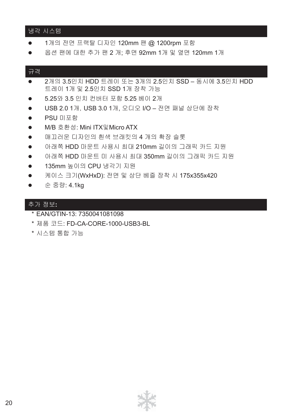#### 냉각 시스템

- 1개의 전면 프랙탈 디자인 120mm 팬 @ 1200rpm 포함
- 옵션 팬에 대한 추가 팬 2 개; 후면 92mm 1개 및 옆면 120mm 1개

#### 규격

- 2개의 3.5인치 HDD 트레이 또는 3개의 2.5인치 SSD 동시에 3.5인치 HDD 트레이 1개 및 2.5인치 SSD 1개 장착 가능
- 5.25와 3.5 인치 컨버터 포함 5.25 베이 2개
- USB 2.0 1개, USB 3.0 1개, 오디오 I/O 전면 패널 상단에 장착
- PSU 미포함
- M/B 호환성: Mini ITX및 Micro ATX
- 매끄러운 디자인의 흰색 브래킷의 4 개의 확장 슬롯
- 아래쪽 HDD 마운트 사용시 최대 210mm 길이의 그래픽 카드 지원
- - 아래쪽 HDD 마운트 미 사용시 최대 350mm 길이의 그래픽 카드 지원
- 135mm 높이의 CPU 냉각기 지원
- 케이스 크기(WxHxD): 전면 및 상단 베즐 장착 시 175x355x420
- 순 중량: 4.1kg

#### 추가 정보**:**

- \* EAN/GTIN-13: 7350041081098
- \* 제품 코드: FD-CA-CORE-1000-USB3-BL
- \* 시스템 통합 가능

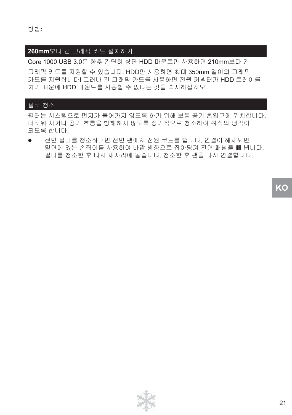### **260mm**보다 긴 그래픽 카드 설치하기

Core 1000 USB 3.0은 향후 간단히 상단 HDD 마운트만 사용하면 210mm보다 긴

그래픽 카드를 지원할 수 있습니다. HDD만 사용하면 최대 350mm 길이의 그래픽 카드를 지원합니다! 그러나 긴 그래픽 카드를 사용하면 전원 커넥터가 HDD 트레이를 치기 때문에 HDD 마운트를 사용할 수 없다는 것을 숙지하십시오.

#### 필터 청소

필터는 시스템으로 먼지가 들어가지 않도록 하기 위해 보통 공기 흡입구에 위치합니다. 더러워 지거나 공기 흐름을 방해하지 않도록 정기적으로 청소하여 최적의 냉각이 되도록 합니다.

● 전면 필터를 청소하려면 전면 팬에서 전원 코드를 뺍니다. 연결이 해제되면 밑면에 있는 손잡이를 사용하여 바깥 방향으로 잡아당겨 전면 패널을 빼 냅니다. 필터를 청소한 후 다시 제자리에 놓습니다. 청소한 후 팬을 다시 연결합니다.

**KO**

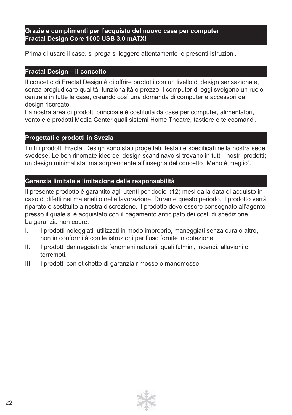#### **Grazie e complimenti per l'acquisto del nuovo case per computer Fractal Design Core 1000 USB 3.0 mATX!**

Prima di usare il case, si prega si leggere attentamente le presenti istruzioni.

#### **Fractal Design – il concetto**

Il concetto di Fractal Design è di offrire prodotti con un livello di design sensazionale, senza pregiudicare qualità, funzionalità e prezzo. I computer di oggi svolgono un ruolo centrale in tutte le case, creando così una domanda di computer e accessori dal design ricercato.

La nostra area di prodotti principale è costituita da case per computer, alimentatori, ventole e prodotti Media Center quali sistemi Home Theatre, tastiere e telecomandi.

### **Progettati e prodotti in Svezia**

Tutti i prodotti Fractal Design sono stati progettati, testati e specificati nella nostra sede svedese. Le ben rinomate idee del design scandinavo si trovano in tutti i nostri prodotti; un design minimalista, ma sorprendente all'insegna del concetto "Meno è meglio".

#### **Garanzia limitata e limitazione delle responsabilità**

Il presente prodotto è garantito agli utenti per dodici (12) mesi dalla data di acquisto in caso di difetti nei materiali o nella lavorazione. Durante questo periodo, il prodotto verrà riparato o sostituito a nostra discrezione. Il prodotto deve essere consegnato all'agente presso il quale si è acquistato con il pagamento anticipato dei costi di spedizione. La garanzia non copre:

- I. I prodotti noleggiati, utilizzati in modo improprio, maneggiati senza cura o altro, non in conformità con le istruzioni per l'uso fornite in dotazione.
- II. I prodotti danneggiati da fenomeni naturali, quali fulmini, incendi, alluvioni o terremoti.
- III. I prodotti con etichette di garanzia rimosse o manomesse.

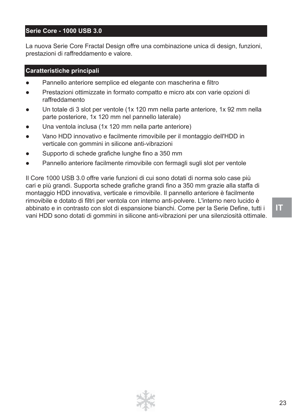#### **Serie Core - 1000 USB 3.0**

La nuova Serie Core Fractal Design offre una combinazione unica di design, funzioni, prestazioni di raffreddamento e valore.

#### **Caratteristiche principali**

- Pannello anteriore semplice ed elegante con mascherina e filtro
- Prestazioni ottimizzate in formato compatto e micro atx con varie opzioni di raffreddamento
- Un totale di 3 slot per ventole (1x 120 mm nella parte anteriore, 1x 92 mm nella parte posteriore, 1x 120 mm nel pannello laterale)
- Una ventola inclusa (1x 120 mm nella parte anteriore)
- Vano HDD innovativo e facilmente rimovibile per il montaggio dell'HDD in verticale con gommini in silicone anti-vibrazioni
- Supporto di schede grafiche lunghe fino a 350 mm
- Pannello anteriore facilmente rimovibile con fermagli sugli slot per ventole

Il Core 1000 USB 3.0 offre varie funzioni di cui sono dotati di norma solo case più cari e più grandi. Supporta schede grafiche grandi fino a 350 mm grazie alla staffa di montaggio HDD innovativa, verticale e rimovibile. Il pannello anteriore è facilmente rimovibile e dotato di filtri per ventola con interno anti-polvere. L'interno nero lucido è abbinato e in contrasto con slot di espansione bianchi. Come per la Serie Define, tutti i vani HDD sono dotati di gommini in silicone anti-vibrazioni per una silenziosità ottimale.

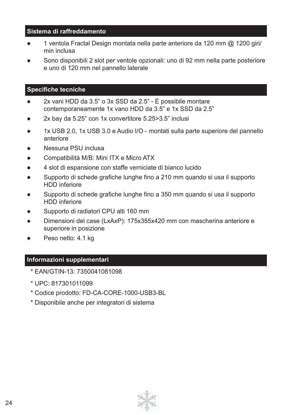#### **Sistema di raffreddamento**

- 1 ventola Fractal Design montata nella parte anteriore da 120 mm @ 1200 giri/ min inclusa
- Sono disponibili 2 slot per ventole opzionali: uno di 92 mm nella parte posteriore e uno di 120 mm nel pannello laterale

#### **Specifiche tecniche**

- 2x vani HDD da 3.5" o 3x SSD da 2.5" È possibile montare contemporaneamente 1x vano HDD da 3.5" e 1x SSD da 2.5"
- 2x bay da 5.25" con 1x convertitore 5.25>3.5" inclusi
- 1x USB 2.0, 1x USB 3.0 e Audio I/O montati sulla parte superiore del pannello anteriore
- Nessuna PSU inclusa
- Compatibilità M/B: Mini ITX e Micro ATX
- 4 slot di espansione con staffe verniciate di bianco lucido
- $\bullet$  Supporto di schede grafiche lunghe fino a 210 mm quando si usa il supporto HDD inferiore
- Supporto di schede grafiche lunghe fino a 350 mm quando si usa il supporto HDD inferiore
- Supporto di radiatori CPU alti 160 mm
- Dimensioni del case (LxAxP): 175x355x420 mm con mascherina anteriore e superiore in posizione
- Peso netto: 4.1 kg

#### **Informazioni supplementari**

- \* EAN/GTIN-13: 7350041081098
- \* UPC: 817301011099
- \* Codice prodotto: FD-CA-CORE-1000-USB3-BL
- \* Disponibile anche per integratori di sistema

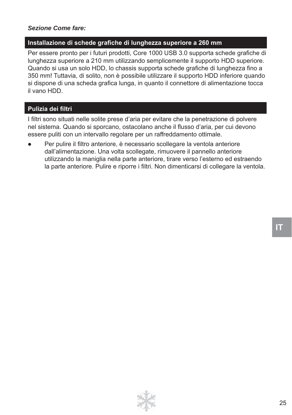#### *Sezione Come fare:*

#### Installazione di schede grafiche di lunghezza superiore a 260 mm

Per essere pronto per i futuri prodotti, Core 1000 USB 3.0 supporta schede grafiche di lunghezza superiore a 210 mm utilizzando semplicemente il supporto HDD superiore. Quando si usa un solo HDD, lo chassis supporta schede grafiche di lunghezza fino a 350 mm! Tuttavia, di solito, non è possibile utilizzare il supporto HDD inferiore quando si dispone di una scheda grafica lunga, in quanto il connettore di alimentazione tocca il vano HDD.

#### **Pulizia dei filtri**

I filtri sono situati nelle solite prese d'aria per evitare che la penetrazione di polvere nel sistema. Quando si sporcano, ostacolano anche il flusso d'aria, per cui devono essere puliti con un intervallo regolare per un raffreddamento ottimale.

Per pulire il filtro anteriore, è necessario scollegare la ventola anteriore dall'alimentazione. Una volta scollegate, rimuovere il pannello anteriore utilizzando la maniglia nella parte anteriore, tirare verso l'esterno ed estraendo la parte anteriore. Pulire e riporre i filtri. Non dimenticarsi di collegare la ventola.

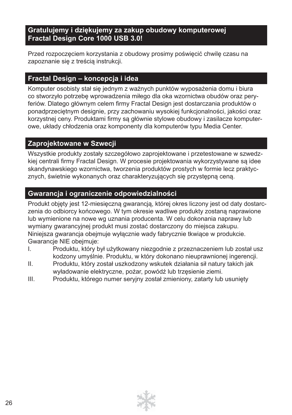# **Gratulujemy i dziękujemy za zakup obudowy komputerowej Fractal Design Core 1000 USB 3.0!**

Przed rozpoczęciem korzystania z obudowy prosimy poświęcić chwilę czasu na zapoznanie się z treścią instrukcji.

# **Fractal Design – koncepcja i idea**

Komputer osobisty stał się jednym z ważnych punktów wyposażenia domu i biura co stworzyło potrzebę wprowadzenia miłego dla oka wzornictwa obudów oraz peryferiów. Dlatego głównym celem firmy Fractal Design jest dostarczania produktów o ponadprzeciętnym designie, przy zachowaniu wysokiej funkcjonalności, jakości oraz korzystnej ceny. Produktami firmy są głównie stylowe obudowy i zasilacze komputerowe, układy chłodzenia oraz komponenty dla komputerów typu Media Center.

# **Zaprojektowane w Szwecji**

Wszystkie produkty zostały szczegółowo zaprojektowane i przetestowane w szwedzkiej centrali firmy Fractal Design. W procesie projektowania wykorzystywane są idee skandynawskiego wzornictwa, tworzenia produktów prostych w formie lecz praktycznych, świetnie wykonanych oraz charakteryzujących się przystępną ceną.

# **Gwarancja i ograniczenie odpowiedzialności**

Produkt objęty jest 12-miesięczną gwarancją, której okres liczony jest od daty dostarczenia do odbiorcy końcowego. W tym okresie wadliwe produkty zostaną naprawione lub wymienione na nowe wg uznania producenta. W celu dokonania naprawy lub wymiany gwarancyjnej produkt musi zostać dostarczony do miejsca zakupu. Niniejsza gwarancja obejmuje wyłącznie wady fabrycznie tkwiące w produkcie. Gwarancje NIE obejmuje:

- I. Produktu, który był użytkowany niezgodnie z przeznaczeniem lub został usz kodzony umyślnie. Produktu, w który dokonano nieuprawnionej ingerencji.
- II. Produktu, który został uszkodzony wskutek działania sił natury takich jak wyładowanie elektryczne, pożar, powódź lub trzęsienie ziemi.
- III. Produktu, którego numer seryjny został zmieniony, zatarty lub usunięty

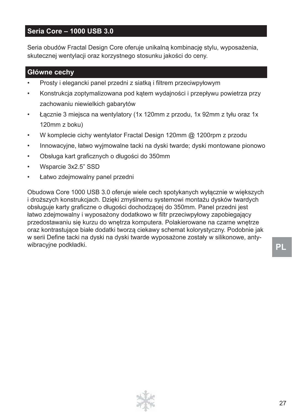# **Seria Core – 1000 USB 3.0**

Seria obudów Fractal Design Core oferuje unikalną kombinację stylu, wyposażenia, skutecznej wentylacji oraz korzystnego stosunku jakości do ceny.

### **Główne cechy**

- Prosty i elegancki panel przedni z siatką i filtrem przeciwpyłowym
- Konstrukcja zoptymalizowana pod kątem wydajności i przepływu powietrza przy zachowaniu niewielkich gabarytów
- Łącznie 3 miejsca na wentylatory (1x 120mm z przodu, 1x 92mm z tyłu oraz 1x 120mm z boku)
- W komplecie cichy wentylator Fractal Design 120mm @ 1200rpm z przodu
- Innowacyjne, łatwo wyjmowalne tacki na dyski twarde; dyski montowane pionowo
- Obsługa kart graficznych o długości do 350mm
- Wsparcie 3x2.5" SSD
- Łatwo zdejmowalny panel przedni

Obudowa Core 1000 USB 3.0 oferuje wiele cech spotykanych wyłącznie w większych i droższych konstrukcjach. Dzięki zmyślnemu systemowi montażu dysków twardych obsługuje karty graficzne o długości dochodzącej do 350mm. Panel przedni jest łatwo zdejmowalny i wyposażony dodatkowo w filtr przeciwpyłowy zapobiegający przedostawaniu się kurzu do wnętrza komputera. Polakierowane na czarne wnętrze oraz kontrastujące białe dodatki tworzą ciekawy schemat kolorystyczny. Podobnie jak w serii Define tacki na dyski na dyski twarde wyposażone zostały w silikonowe, antywibracyjne podkładki.

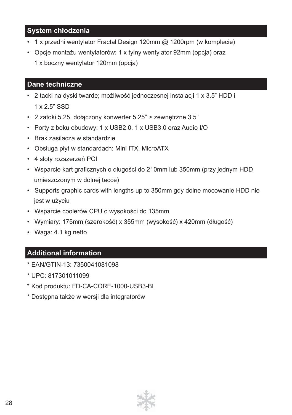# **System chłodzenia**

- 1 x przedni wentylator Fractal Design 120mm @ 1200rpm (w komplecie)
- Opcje montażu wentylatorów; 1 x tylny wentylator 92mm (opcja) oraz 1 x boczny wentylator 120mm (opcja)

### **Dane techniczne**

- 2 tacki na dyski twarde; możliwość jednoczesnej instalacji 1 x 3.5" HDD i 1 x 2.5" SSD
- 2 zatoki 5.25, dołączony konwerter 5.25" > zewnętrzne 3.5"
- Porty z boku obudowy: 1 x USB2.0, 1 x USB3.0 oraz Audio I/O
- Brak zasilacza w standardzie
- Obsługa płyt w standardach: Mini ITX, MicroATX
- 4 sloty rozszerzeń PCI
- Wsparcie kart graficznych o długości do 210mm lub 350mm (przy jednym HDD umieszczonym w dolnej tacce)
- Supports graphic cards with lengths up to 350mm gdy dolne mocowanie HDD nie jest w użyciu
- Wsparcie coolerów CPU o wysokości do 135mm
- Wymiary: 175mm (szerokość) x 355mm (wysokość) x 420mm (długość)
- Waga: 4.1 kg netto

# **Additional information**

- \* EAN/GTIN-13: 7350041081098
- \* UPC: 817301011099
- \* Kod produktu: FD-CA-CORE-1000-USB3-BL
- \* Dostępna także w wersji dla integratorów

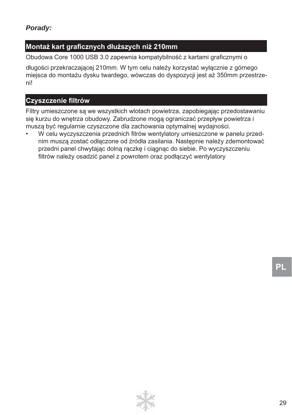# **Montaż kart grafi cznych dłuższych niż 210mm**

Obudowa Core 1000 USB 3.0 zapewnia kompatybilność z kartami graficznymi o

długości przekraczającej 210mm. W tym celu należy korzystać wyłącznie z górnego miejsca do montażu dysku twardego, wówczas do dyspozycji jest aż 350mm przestrzeni!

# **Czyszczenie fi ltrów**

Filtry umieszczone są we wszystkich wlotach powietrza, zapobiegając przedostawaniu się kurzu do wnętrza obudowy. Zabrudzone mogą ograniczać przepływ powietrza i muszą być regularnie czyszczone dla zachowania optymalnej wydajności.

W celu wyczyszczenia przednich fitrów wentylatory umieszczone w panelu przednim muszą zostać odłączone od źródła zasilania. Następnie należy zdemontować przedni panel chwytając dolną rączkę i ciągnąc do siebie. Po wyczyszczeniu filtrów należy osadzić panel z powrotem oraz podłączyć wentylatory

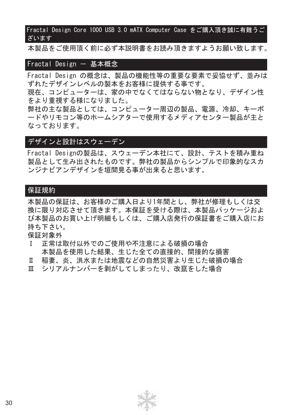Fractal Design Core 1000 USB 3.0 mATX Computer Case をご購入頂き誠に有難うご ざいます

本製品をご使用頂く前に必ず本説明書をお読み頂きますようお願い致します。

#### Fractal Design - 基本概念

Fractal Design の概念は、製品の機能性等の重要な要素で妥協せず、並みは ずれたデザインレベルの製本をお客様に提供する事です。

現在、コンピューターは、家の中でなくてはならない物となり、デザイン性 をより重視する様になりました。

弊社の主な製品としては、コンピューター周辺の製品、電源、冷却、キーボ ードやリモコン等のホームシアターで使用するメディアセンター製品が主と なっております。

### デザインと設計はスウェーデン

Fractal Designの製品は、スウェーデン本社にて、設計、テストを積み重ね 製品として生み出されたものです。弊社の製品からシンプルで印象的なスカ ンジナビアンデザインを垣間見る事が出来ると思います。

#### 保証規約

本製品の保証は、お客様のご購入日より1年間とし、弊社が修理もしくは交 換に限り対応させて頂きます。本保証を受ける際は、本製品パッケージおよ び本製品のお買い上げ明細もしくは、ご購入店発行の保証書をご購入店にお 持ち下さい。

保証対象外

- Ⅰ 正常は取付以外でのご使用や不注意による破損の場合 本製品を使用した結果、生じた全ての直接的、間接的な損害
- Ⅱ 稲妻、炎、洪水または地震などの自然災害より生じた破損の場合
- Ⅲ シリアルナンバーを剥がしてしまったり、改竄をした場合

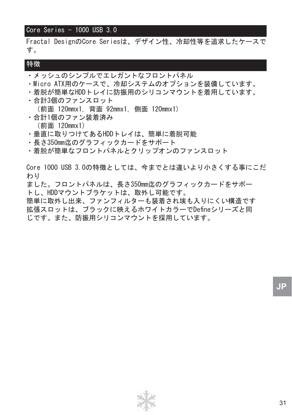### Core Series  $-1000$  USB 3.0

Fractal DesignのCore Seriesは、デザイン性、冷却性等を追求したケースで す。

#### 特徴

- ・メッシュのシンプルでエレガントなフロントパネル
- ・Micro ATX用のケースで、冷却システムのオプションを装備しています。
- ・着脱が簡単なHDDトレイに防振用のシリコンマウントを着用しています。
- ・合計3個のファンスロット (前面 120mmx1, 背面 92mmx1, 側面 120mmx1)
- ・合計1個のファン装着済み (前面 120mmx1)
- ・垂直に取りつけてあるHDDトレイは、簡単に着脱可能
- ・長さ350mm迄のグラフィックカードをサポート
- ・着脱が簡単なフロントパネルとクリップオンのファンスロット

Core 1000 USB 3.0の特徴としては、今までとは違いより小さくする事にこだ わり

ました。フロントパネルは、長さ350mm迄のグラフィックカードをサポー トし、HDDマウントブラケットは、取外し可能です。

簡単に取外し出来、ファンフィルターも装着され埃も入りにくい構造です 拡張スロットは、ブラックに映えるホワイトカラーでDefineシリーズと同 じです。また、防振用シリコンマウントを採用しています。

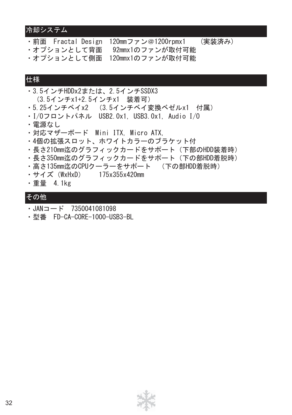# 冷却システム

·前面 Fractal Design 120mmファン@1200rpmx1 (実装済み)

- ・オプションとして背面 92mmx1のファンが取付可能 ・オプションとして側面 120mmx1のファンが取付可能
- 

# 仕様

- ・3.5インチHDDx2または、2.5インチSSDX3 (3.5インチx1+2.5インチx1 装着可)
- ・5.25インチベイx2 (3.5インチベイ変換ベゼルx1 付属)
- ・I/Oフロントパネル USB2.0x1, USB3.0x1, Audio I/O
- ・電源なし
- ・対応マザーボード Mini ITX, Micro ATX,
- ・4個の拡張スロット、ホワイトカラーのブラケット付
- ・長さ210mm迄のグラフィックカードをサポート(下部のHDD装着時)
- ・長さ350mm迄のグラフィックカードをサポート(下の部HDD着脱時)
- ・高さ135mm迄のCPUクーラーをサポート (下の部HDD着脱時)
- ・サイズ(WxHxD) 175x355x420mm
- ・重量 4.1kg

# その他

- $\cdot$  JAN $=$   $\vdash$  7350041081098
- ・型番 FD-CA-CORE-1000-USB3-BL

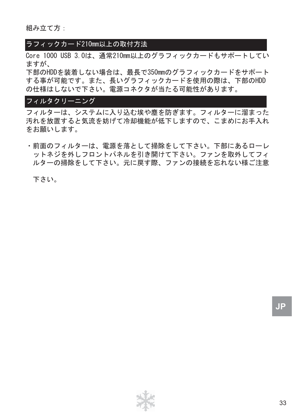組み立て方:

#### ラフィックカード210mm以上の取付方法

Core 1000 USB 3.0は、通常210mm以上のグラフィックカードもサポートしてい ますが、

下部のHDDを装着しない場合は、最長で350mmのグラフィックカードをサポート する事が可能です。また、長いグラフィックカードを使用の際は、下部のHDD の仕様はしないで下さい。電源コネクタが当たる可能性があります。

### フィルタクリーニング

フィルターは、システムに入り込む埃や塵を防ぎます。フィルターに溜まった 汚れを放置すると気流を妨げて冷却機能が低下しますので、こまめにお手入れ をお願いします。

・前面のフィルターは、電源を落として掃除をして下さい。下部にあるローレ ットネジを外しフロントパネルを引き開けて下さい。ファンを取外してフィ ルターの掃除をして下さい。元に戻す際、ファンの接続を忘れない様ご注意

下さい。

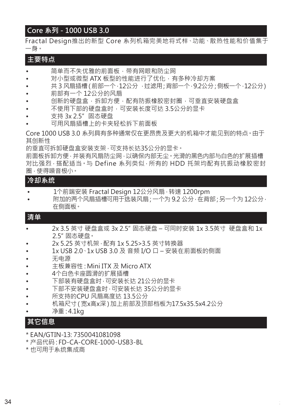# **Core 系列 - 1000 USB 3.0**

Fractal Design推出的新型 Core 系列机箱完美地将式样、功能、散热性能和价值集于 一身。

#### **主要特点**

- 简单而不失优雅的前面板,带有网眼和防尘网
- 对小型或微型 ATX 板型的性能进行了优化,有多种冷却方案
- 共 3 风扇插槽(前部一个,12公分,过滤用;背部一个,9.2公分;侧板一个,12公分)
- 前部有一个 12公分的风扇
- 创新的硬盘盒,拆卸方便,配有防振橡胶密封圈,可垂直安装硬盘盒
- 不使用下部的硬盘盒时,可安装长度可达 3.5公分的显卡
- 支持 3x 2.5" 固态硬盘
- 可用风扇插槽上的卡夹轻松拆下前面板

Core 1000 USB 3.0 系列具有多种通常仅在更昂贵及更大的机箱中才能见到的特点。由于 其创新性

的垂直可拆卸硬盘盒安装支架,可支持长达35公分的显卡。

前面板拆卸方便,并装有风扇防尘网,以确保内部无尘。光滑的黑色内部与白色的扩展插槽 对比强烈,搭配适当。与 Define 系列类似,所有的 HDD 托架均配有抗振动橡胶密封 圈,使得噪音极小。

### **冷却系统**

- 1个前端安装 Fractal Design 12公分风扇 · 转速 1200rpm
- 附加的两个风扇插槽可用于选装风扇; 一个为 9.2 公分 · 在背部; 另一个为 12公分 · 在侧面板。

#### **清单**

- 2x 3.5 英寸 硬盘盒或 3x 2.5"固态硬盘 可同时安装 1x 3.5英寸 硬盘盒和 1x 2.5"固态硬盘。
- 2x 5.25 英寸机架,配有 1x 5.25>3.5 英寸转换器
- 1x USB 2.0、1x USB 3.0 及 音频 I/O 口 安装在前面板的侧面
- 无电源
- 主板兼容性:Mini ITX 及 Micro ATX
- 4个白色卡座圆滑的扩展插槽
- 下部装有硬盘盒时,可安装长达 21公分的显卡
- 下部不安装硬盘盒时,可安装长达 35公分的显卡
- 所支持的CPU 风扇高度达 13.5公分
- 机箱尺寸(宽x高x深)加上前部及顶部档板为17.5x35.5x4.2公分
- 净重:4.1kg

#### **其它信息**

- \* EAN/GTIN-13: 7350041081098
- \* 产品代码:FD-CA-CORE-1000-USB3-BL
- \* 也可用于系统集成商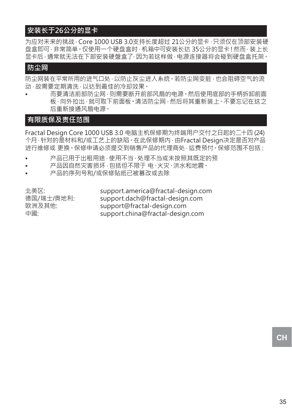# **安装长于26公分的显卡**

为应对未来的挑战, Core 1000 USB 3.0支持长度超过 21公分的显卡,只须仅在顶部安装硬 盘盒即可, 非常简单。仅使用一个硬盘盒时, 机箱中可安装长达 35公分的显卡! 然而, 装上长 显卡后,通常就无法在下部安装硬盤盒了,因为若这样做,电源连接器将会碰到硬盘盒托架。

#### **防尘网**

防尘网装在平常所用的进气口处,以防止灰尘进入系统。若防尘网变脏,也会阻碍空气的流 动,故需要定期清洗,以达到最佳的冷却效果。

• 而要清洁前部防尘网,则需要断开前部风扇的电源。然后使用底部的手柄拆卸前面 板,向外拉出,就可取下前面板。清洁防尘网,然后将其重新装上。不要忘记在这之 后重新接通风扇电源。

### **有限质保及责任范围**

Fractal Design Core 1000 USB 3.0 电脑主机保修期为终端用户交付之日起的二十四 (24) 个月,针对的是材料和/或工艺上的缺陷。在此保修期内,由Fractal Design决定是否对产品 进行维修或 更换。保修申请必须提交到销售产品的代理商处,运费预付。保修范围不包括:

- 产品已用于出租用途,使用不当,处理不当或未按照其既定的预
- 产品因自然灾害损坏,包括但不限于 电、火灾、洪水和地震。
- 产品的序列号和/或保修贴纸已被篡改或去除

北美区: support.america@fractal-design.com<br>德国/瑞士/奥地利: support.dach@fractal-design.com support.dach@fractal-design.com 欧洲及其他: support@fractal-design.com<br>中國: support china@fractal-design support.china@fractal-design.com